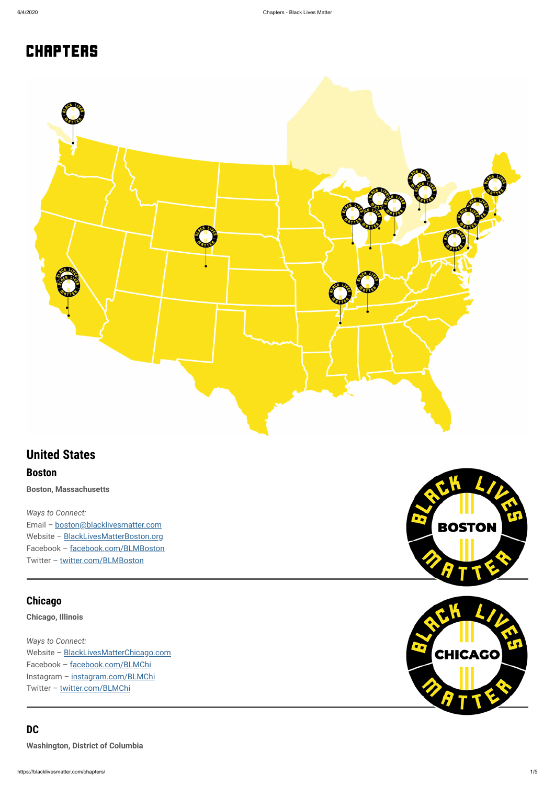# **CHAPTERS**



https://blacklivesmatter.com/chapters/ 1/5

# **United States**

#### **Boston**

**Boston, Massachusetts**

*Ways to Connect:*

Email – [boston@blacklivesmatter.com](mailto:boston@blacklivesmatter.com)

Website - [BlackLivesMatterBoston.org](http://blacklivesmatterboston.org/)

Facebook – [facebook.com/BLMBoston](https://facebook.com/blmboston)

Twitter – [twitter.com/BLMBoston](https://twitter.com/blmboston)



## **Chicago**

**Chicago, Illinois**

*Ways to Connect:*

Website - [BlackLivesMatterChicago.com](http://blacklivesmatterchicago.com/) Facebook – [facebook.com/BLMChi](https://facebook.com/blmchi) Instagram – [instagram.com/BLMChi](https://instagram.com/blmchi) Twitter - [twitter.com/BLMChi](https://twitter.com/blmchi)



## **DC**

**Washington, District of Columbia**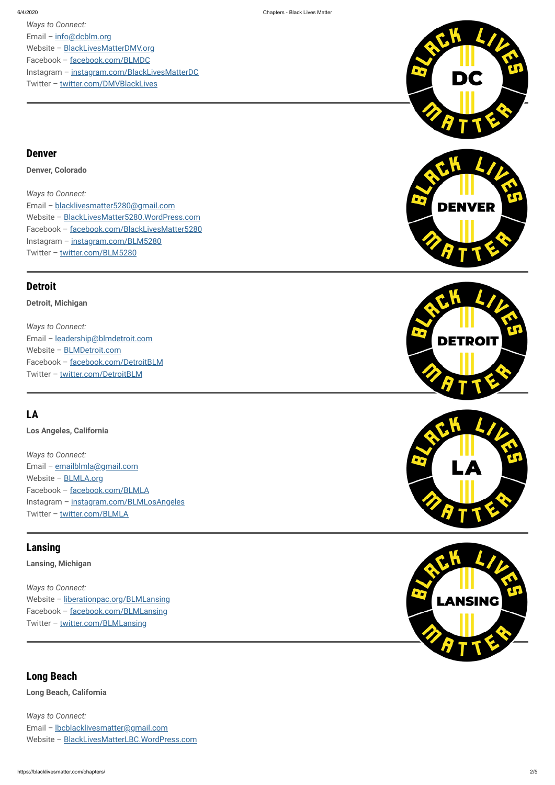









Website - [liberationpac.org/BLMLansing](http://liberationpac.org/blmlansing) Facebook – [facebook.com/BLMLansing](https://facebook.com/blmlansing) Twitter - [twitter.com/BLMLansing](https://twitter.com/blmlansing)

*Ways to Connect:* Email – [info@dcblm.org](mailto:info@dcblm.org) Website - [BlackLivesMatterDMV.org](http://blacklivesmatterdmv.org/) Facebook – [facebook.com/BLMDC](https://facebook.com/blmdc) Instagram - [instagram.com/BlackLivesMatterDC](https://instagram.com/blacklivesmatterdc) Twitter – [twitter.com/DMVBlackLives](https://twitter.com/dmvblacklives)

*Ways to Connect:* Email – [leadership@blmdetroit.com](mailto:leadership@blmdetroit.com) Website – [BLMDetroit.com](http://blmdetroit.com/) Facebook – [facebook.com/DetroitBLM](https://facebook.com/detroitblm) Twitter - [twitter.com/DetroitBLM](https://twitter.com/detroitblm)

#### **Denver**

**Denver, Colorado**

*Ways to Connect:* Email – [emailblmla@gmail.com](mailto:emailblmla@gmail.com) Website – [BLMLA.org](http://blmla.org/) Facebook – [facebook.com/BLMLA](https://facebook.com/blmla) Instagram – [instagram.com/BLMLosAngeles](https://instagram.com/blmlosangeles) Twitter - [twitter.com/BLMLA](https://twitter.com/blmla)

*Ways to Connect:* Email – [blacklivesmatter5280@gmail.com](mailto:blacklivesmatter5280@gmail.com) Website – [BlackLivesMatter5280.WordPress.com](http://blacklivesmatter5280.wordpress.com/) Facebook – [facebook.com/BlackLivesMatter5280](https://facebook.com/blacklivesmatter5280) Instagram – [instagram.com/BLM5280](https://instagram.com/blm5280) Twitter – [twitter.com/BLM5280](https://twitter.com/blm5280)

## **Detroit**

**Detroit, Michigan**

## **LA**

**Los Angeles, California**

## **Lansing**

**Lansing, Michigan**

*Ways to Connect:*

### **Long Beach**

**Long Beach, California**

*Ways to Connect:*

Email – [lbcblacklivesmatter@gmail.com](mailto:lbcblacklivesmatter@gmail.com)

Website – [BlackLivesMatterLBC.WordPress.com](http://blacklivesmatterlbc.wordpress.com/)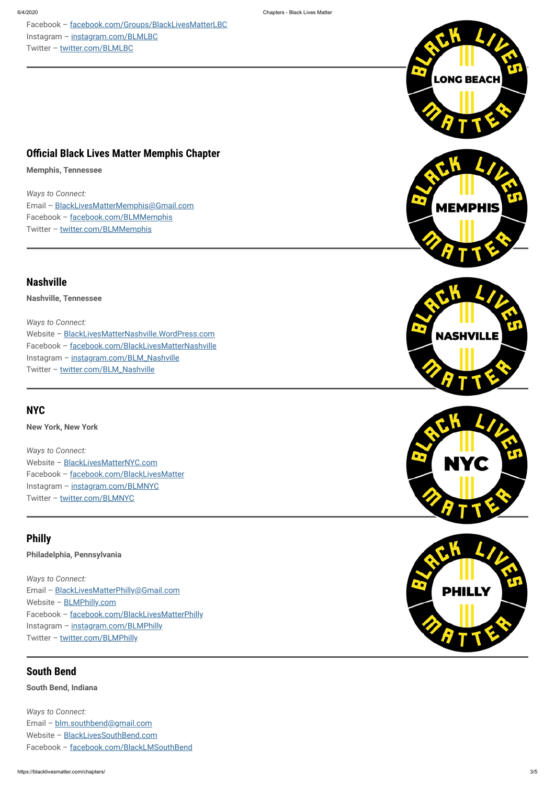Facebook – [facebook.com/Groups/BlackLivesMatterLBC](https://facebook.com/groups/blacklivesmatterlbc) Instagram – [instagram.com/BLMLBC](https://instagram.com/blmlbc) Twitter - [twitter.com/BLMLBC](https://twitter.com/blmlbc)

### **Official Black Lives Matter Memphis Chapter**

*Ways to Connect:* Email – [BlackLivesMatterMemphis@Gmail.com](mailto:blacklivesmattermemphis@gmail.com) Facebook – [facebook.com/BLMMemphis](https://facebook.com/blmmemphis) Twitter - [twitter.com/BLMMemphis](https://twitter.com/blmmemphis)

*Ways to Connect:* Website – [BlackLivesMatterNashville.WordPress.com](https://blacklivesmatternashville.wordpress.com/) Facebook – [facebook.com/BlackLivesMatterNashville](https://facebook.com/blacklivesmatternashville) Instagram - [instagram.com/BLM\\_Nashville](https://instagram.com/blm_nashville) Twitter - [twitter.com/BLM\\_Nashville](https://twitter.com/blm_nashville)

**Memphis, Tennessee**

*Ways to Connect:* Website - [BlackLivesMatterNYC.com](https://blacklivesmatternyc.com/) Facebook – [facebook.com/BlackLivesMatter](https://facebook.com/BlackLivesMatter) Instagram – [instagram.com/BLMNYC](https://instagram.com/blmnyc) Twitter - [twitter.com/BLMNYC](https://twitter.com/blmnyc)

### **Nashville**

**Nashville, Tennessee**

## **NYC**

**New York, New York**

## **Philly**

**Philadelphia, Pennsylvania**

*Ways to Connect:* Email – [BlackLivesMatterPhilly@Gmail.com](mailto:blacklivesmatterphilly@gmail.com)











Website – [BLMPhilly.com](http://blmphilly.com/)

Facebook – [facebook.com/BlackLivesMatterPhilly](https://facebook.com/blacklivesmatterphilly)

Instagram - [instagram.com/BLMPhilly](https://instagram.com/blmphilly)

Twitter - [twitter.com/BLMPhilly](https://twitter.com/blmphilly)

#### **South Bend**

**South Bend, Indiana**

*Ways to Connect:*

Email – [blm.southbend@gmail.com](mailto:blm.southbend@gmail.com)

Website - [BlackLivesSouthBend.com](http://blacklivessouthbend.com/)

Facebook – [facebook.com/BlackLMSouthBend](https://facebook.com/BlackLMSouthBend)